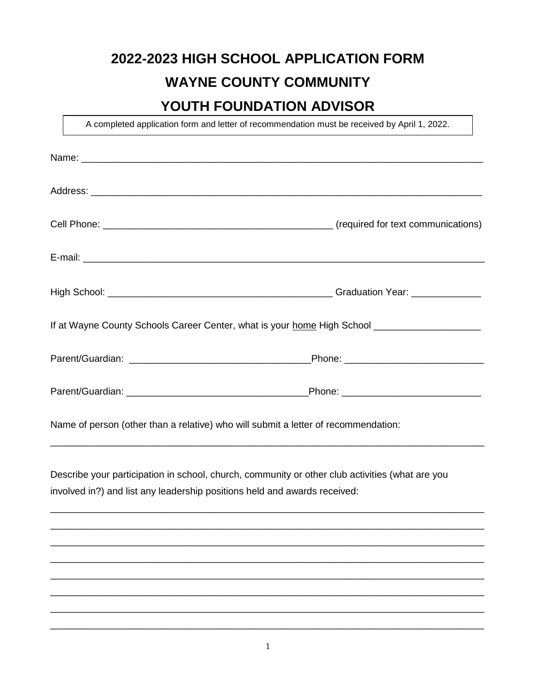## **2022-2023 HIGH SCHOOL APPLICATION FORM WAYNE COUNTY COMMUNITY**

## **YOUTH FOUNDATION ADVISOR**

A completed application form and letter of recommendation must be received by April 1, 2022.

|                                                                                    | If at Wayne County Schools Career Center, what is your home High School ___________________________ |
|------------------------------------------------------------------------------------|-----------------------------------------------------------------------------------------------------|
|                                                                                    |                                                                                                     |
|                                                                                    |                                                                                                     |
| Name of person (other than a relative) who will submit a letter of recommendation: |                                                                                                     |
| involved in?) and list any leadership positions held and awards received:          | Describe your participation in school, church, community or other club activities (what are you     |
|                                                                                    |                                                                                                     |
|                                                                                    |                                                                                                     |
|                                                                                    |                                                                                                     |
|                                                                                    |                                                                                                     |
|                                                                                    |                                                                                                     |
|                                                                                    |                                                                                                     |

\_\_\_\_\_\_\_\_\_\_\_\_\_\_\_\_\_\_\_\_\_\_\_\_\_\_\_\_\_\_\_\_\_\_\_\_\_\_\_\_\_\_\_\_\_\_\_\_\_\_\_\_\_\_\_\_\_\_\_\_\_\_\_\_\_\_\_\_\_\_\_\_\_\_\_\_\_\_\_\_\_